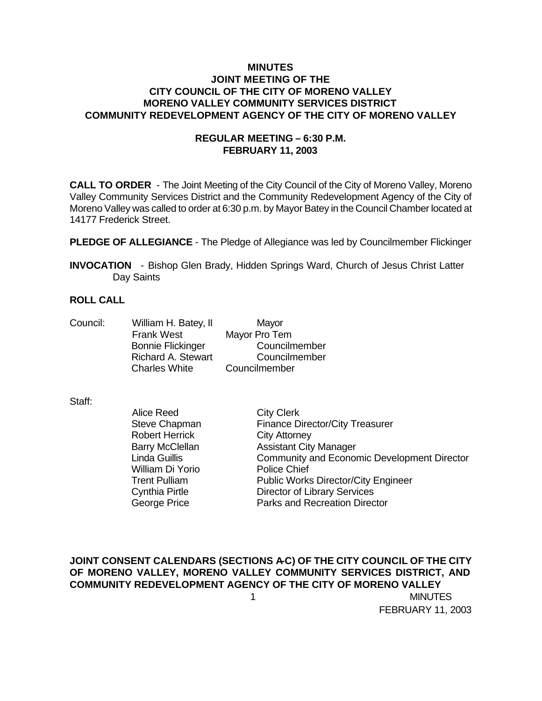### **MINUTES JOINT MEETING OF THE CITY COUNCIL OF THE CITY OF MORENO VALLEY MORENO VALLEY COMMUNITY SERVICES DISTRICT COMMUNITY REDEVELOPMENT AGENCY OF THE CITY OF MORENO VALLEY**

## **REGULAR MEETING – 6:30 P.M. FEBRUARY 11, 2003**

**CALL TO ORDER** - The Joint Meeting of the City Council of the City of Moreno Valley, Moreno Valley Community Services District and the Community Redevelopment Agency of the City of Moreno Valley was called to order at 6:30 p.m. by Mayor Batey in the Council Chamber located at 14177 Frederick Street.

**PLEDGE OF ALLEGIANCE** - The Pledge of Allegiance was led by Councilmember Flickinger

**INVOCATION** - Bishop Glen Brady, Hidden Springs Ward, Church of Jesus Christ Latter Day Saints

### **ROLL CALL**

Council: William H. Batey, II Mayor Frank West Mayor Pro Tem Bonnie Flickinger Councilmember Richard A. Stewart Councilmember Charles White Councilmember

#### Staff:

Alice Reed City Clerk Robert Herrick City Attorney William Di Yorio Police Chief

Steve Chapman Finance Director/City Treasurer Barry McClellan **Assistant City Manager** Linda Guillis Community and Economic Development Director Trent Pulliam Public Works Director/City Engineer Cynthia Pirtle Director of Library Services George Price **Parks** and Recreation Director

 1 MINUTES **JOINT CONSENT CALENDARS (SECTIONS A-C) OF THE CITY COUNCIL OF THE CITY OF MORENO VALLEY, MORENO VALLEY COMMUNITY SERVICES DISTRICT, AND COMMUNITY REDEVELOPMENT AGENCY OF THE CITY OF MORENO VALLEY**

FEBRUARY 11, 2003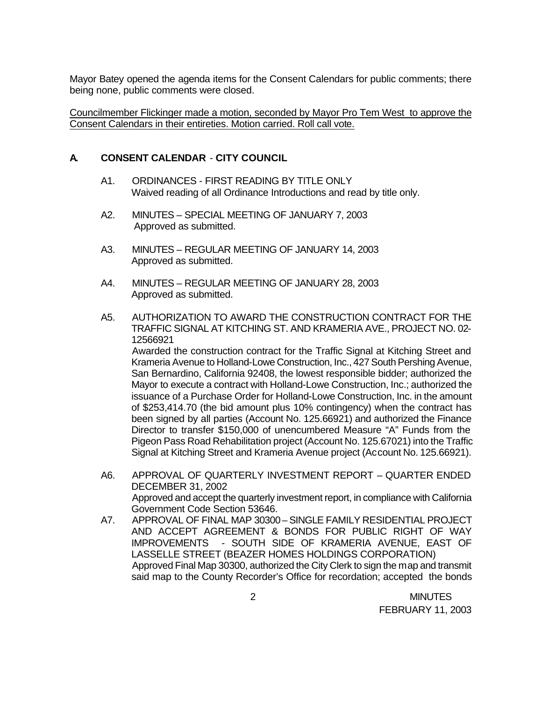Mayor Batey opened the agenda items for the Consent Calendars for public comments; there being none, public comments were closed.

Councilmember Flickinger made a motion, seconded by Mayor Pro Tem West to approve the Consent Calendars in their entireties. Motion carried. Roll call vote.

## **A. CONSENT CALENDAR** - **CITY COUNCIL**

- A1. ORDINANCES FIRST READING BY TITLE ONLY Waived reading of all Ordinance Introductions and read by title only.
- A2. MINUTES SPECIAL MEETING OF JANUARY 7, 2003 Approved as submitted.
- A3. MINUTES REGULAR MEETING OF JANUARY 14, 2003 Approved as submitted.
- A4. MINUTES REGULAR MEETING OF JANUARY 28, 2003 Approved as submitted.
- A5. AUTHORIZATION TO AWARD THE CONSTRUCTION CONTRACT FOR THE TRAFFIC SIGNAL AT KITCHING ST. AND KRAMERIA AVE., PROJECT NO. 02- 12566921

Awarded the construction contract for the Traffic Signal at Kitching Street and Krameria Avenue to Holland-Lowe Construction, Inc., 427 South Pershing Avenue, San Bernardino, California 92408, the lowest responsible bidder; authorized the Mayor to execute a contract with Holland-Lowe Construction, Inc.; authorized the issuance of a Purchase Order for Holland-Lowe Construction, Inc. in the amount of \$253,414.70 (the bid amount plus 10% contingency) when the contract has been signed by all parties (Account No. 125.66921) and authorized the Finance Director to transfer \$150,000 of unencumbered Measure "A" Funds from the Pigeon Pass Road Rehabilitation project (Account No. 125.67021) into the Traffic Signal at Kitching Street and Krameria Avenue project (Account No. 125.66921).

- A6. APPROVAL OF QUARTERLY INVESTMENT REPORT QUARTER ENDED DECEMBER 31, 2002 Approved and accept the quarterly investment report, in compliance with California Government Code Section 53646.
- A7. APPROVAL OF FINAL MAP 30300 SINGLE FAMILY RESIDENTIAL PROJECT AND ACCEPT AGREEMENT & BONDS FOR PUBLIC RIGHT OF WAY IMPROVEMENTS - SOUTH SIDE OF KRAMERIA AVENUE, EAST OF LASSELLE STREET (BEAZER HOMES HOLDINGS CORPORATION) Approved Final Map 30300, authorized the City Clerk to sign the map and transmit said map to the County Recorder's Office for recordation; accepted the bonds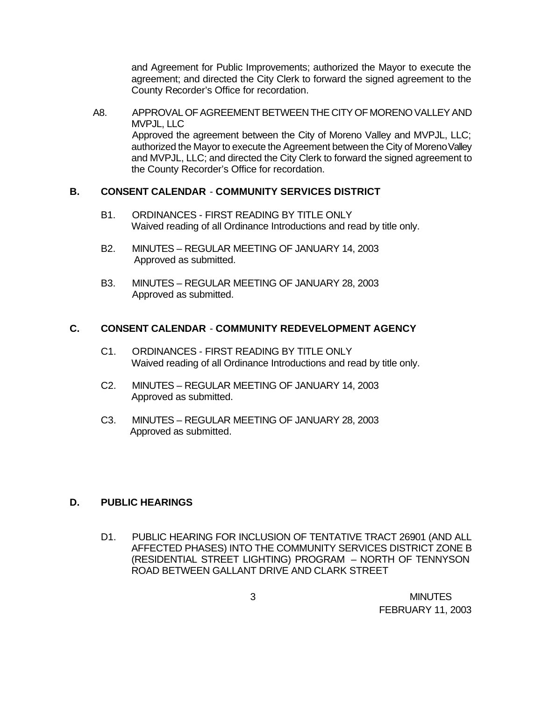and Agreement for Public Improvements; authorized the Mayor to execute the agreement; and directed the City Clerk to forward the signed agreement to the County Recorder's Office for recordation.

A8. APPROVAL OF AGREEMENT BETWEEN THE CITY OF MORENO VALLEY AND MVPJL, LLC Approved the agreement between the City of Moreno Valley and MVPJL, LLC; authorized the Mayor to execute the Agreement between the City of Moreno Valley and MVPJL, LLC; and directed the City Clerk to forward the signed agreement to the County Recorder's Office for recordation.

## **B. CONSENT CALENDAR** - **COMMUNITY SERVICES DISTRICT**

- B1. ORDINANCES FIRST READING BY TITLE ONLY Waived reading of all Ordinance Introductions and read by title only.
- B2. MINUTES REGULAR MEETING OF JANUARY 14, 2003 Approved as submitted.
- B3. MINUTES REGULAR MEETING OF JANUARY 28, 2003 Approved as submitted.

## **C. CONSENT CALENDAR** - **COMMUNITY REDEVELOPMENT AGENCY**

- C1. ORDINANCES FIRST READING BY TITLE ONLY Waived reading of all Ordinance Introductions and read by title only.
- C2. MINUTES REGULAR MEETING OF JANUARY 14, 2003 Approved as submitted.
- C3. MINUTES REGULAR MEETING OF JANUARY 28, 2003 Approved as submitted.

## **D. PUBLIC HEARINGS**

D1. PUBLIC HEARING FOR INCLUSION OF TENTATIVE TRACT 26901 (AND ALL AFFECTED PHASES) INTO THE COMMUNITY SERVICES DISTRICT ZONE B (RESIDENTIAL STREET LIGHTING) PROGRAM – NORTH OF TENNYSON ROAD BETWEEN GALLANT DRIVE AND CLARK STREET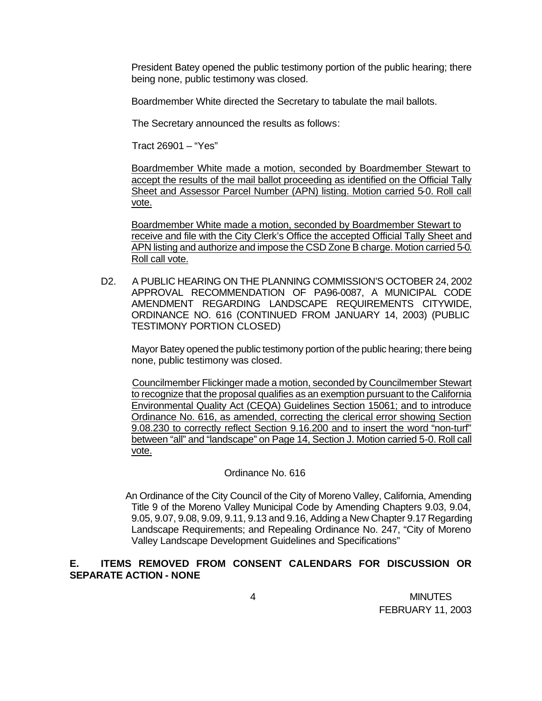President Batey opened the public testimony portion of the public hearing; there being none, public testimony was closed.

Boardmember White directed the Secretary to tabulate the mail ballots.

The Secretary announced the results as follows:

Tract 26901 – "Yes"

Boardmember White made a motion, seconded by Boardmember Stewart to accept the results of the mail ballot proceeding as identified on the Official Tally Sheet and Assessor Parcel Number (APN) listing. Motion carried 5-0. Roll call vote.

Boardmember White made a motion, seconded by Boardmember Stewart to receive and file with the City Clerk's Office the accepted Official Tally Sheet and APN listing and authorize and impose the CSD Zone B charge. Motion carried 5-0. Roll call vote.

D2. A PUBLIC HEARING ON THE PLANNING COMMISSION'S OCTOBER 24, 2002 APPROVAL RECOMMENDATION OF PA96-0087, A MUNICIPAL CODE AMENDMENT REGARDING LANDSCAPE REQUIREMENTS CITYWIDE, ORDINANCE NO. 616 (CONTINUED FROM JANUARY 14, 2003) (PUBLIC TESTIMONY PORTION CLOSED)

Mayor Batey opened the public testimony portion of the public hearing; there being none, public testimony was closed.

Councilmember Flickinger made a motion, seconded by Councilmember Stewart to recognize that the proposal qualifies as an exemption pursuant to the California Environmental Quality Act (CEQA) Guidelines Section 15061; and to introduce Ordinance No. 616, as amended, correcting the clerical error showing Section 9.08.230 to correctly reflect Section 9.16.200 and to insert the word "non-turf" between "all" and "landscape" on Page 14, Section J. Motion carried 5-0. Roll call vote.

#### Ordinance No. 616

 An Ordinance of the City Council of the City of Moreno Valley, California, Amending Title 9 of the Moreno Valley Municipal Code by Amending Chapters 9.03, 9.04, 9.05, 9.07, 9.08, 9.09, 9.11, 9.13 and 9.16, Adding a New Chapter 9.17 Regarding Landscape Requirements; and Repealing Ordinance No. 247, "City of Moreno Valley Landscape Development Guidelines and Specifications"

## **E. ITEMS REMOVED FROM CONSENT CALENDARS FOR DISCUSSION OR SEPARATE ACTION - NONE**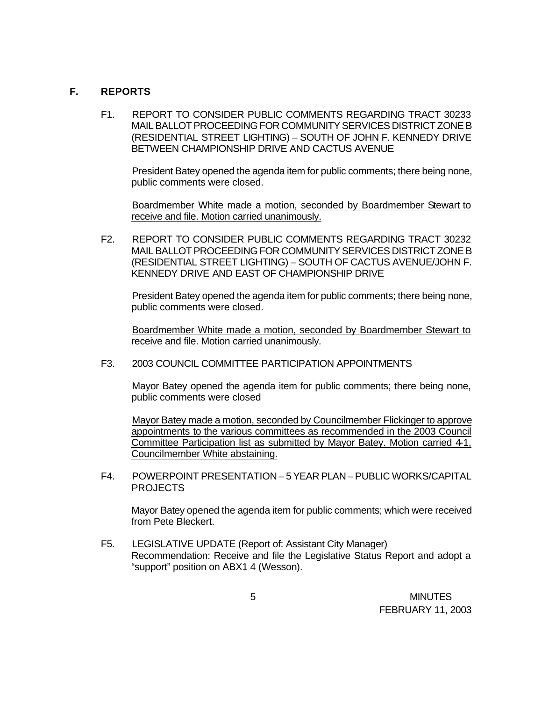### **F. REPORTS**

F1. REPORT TO CONSIDER PUBLIC COMMENTS REGARDING TRACT 30233 MAIL BALLOT PROCEEDING FOR COMMUNITY SERVICES DISTRICT ZONE B (RESIDENTIAL STREET LIGHTING) – SOUTH OF JOHN F. KENNEDY DRIVE BETWEEN CHAMPIONSHIP DRIVE AND CACTUS AVENUE

President Batey opened the agenda item for public comments; there being none, public comments were closed.

Boardmember White made a motion, seconded by Boardmember Stewart to receive and file. Motion carried unanimously.

F2. REPORT TO CONSIDER PUBLIC COMMENTS REGARDING TRACT 30232 MAIL BALLOT PROCEEDING FOR COMMUNITY SERVICES DISTRICT ZONE B (RESIDENTIAL STREET LIGHTING) – SOUTH OF CACTUS AVENUE/JOHN F. KENNEDY DRIVE AND EAST OF CHAMPIONSHIP DRIVE

President Batey opened the agenda item for public comments; there being none, public comments were closed.

Boardmember White made a motion, seconded by Boardmember Stewart to receive and file. Motion carried unanimously.

F3. 2003 COUNCIL COMMITTEE PARTICIPATION APPOINTMENTS

Mayor Batey opened the agenda item for public comments; there being none, public comments were closed

Mayor Batey made a motion, seconded by Councilmember Flickinger to approve appointments to the various committees as recommended in the 2003 Council Committee Participation list as submitted by Mayor Batey. Motion carried 4-1, Councilmember White abstaining.

F4. POWERPOINT PRESENTATION – 5 YEAR PLAN – PUBLIC WORKS/CAPITAL PROJECTS

Mayor Batey opened the agenda item for public comments; which were received from Pete Bleckert.

F5. LEGISLATIVE UPDATE (Report of: Assistant City Manager) Recommendation: Receive and file the Legislative Status Report and adopt a "support" position on ABX1 4 (Wesson).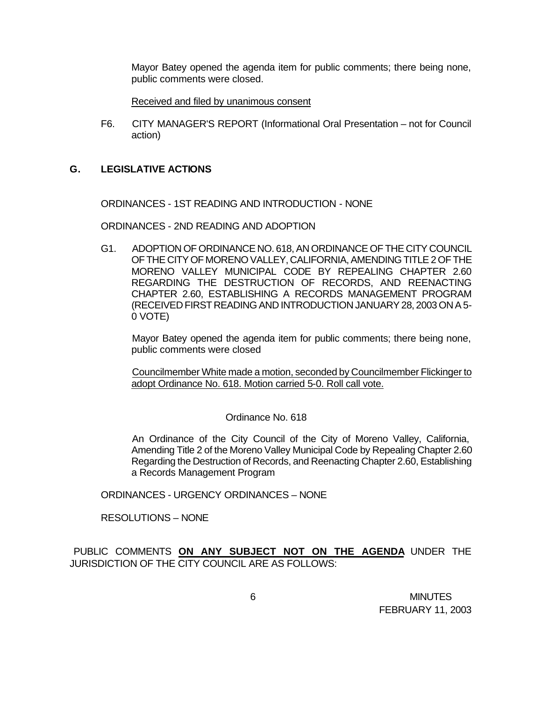Mayor Batey opened the agenda item for public comments; there being none, public comments were closed.

Received and filed by unanimous consent

F6. CITY MANAGER'S REPORT (Informational Oral Presentation – not for Council action)

#### **G. LEGISLATIVE ACTIONS**

ORDINANCES - 1ST READING AND INTRODUCTION - NONE

ORDINANCES - 2ND READING AND ADOPTION

G1. ADOPTION OF ORDINANCE NO. 618, AN ORDINANCE OF THE CITY COUNCIL OF THE CITY OF MORENO VALLEY, CALIFORNIA, AMENDING TITLE 2 OF THE MORENO VALLEY MUNICIPAL CODE BY REPEALING CHAPTER 2.60 REGARDING THE DESTRUCTION OF RECORDS, AND REENACTING CHAPTER 2.60, ESTABLISHING A RECORDS MANAGEMENT PROGRAM (RECEIVED FIRST READING AND INTRODUCTION JANUARY 28, 2003 ON A 5- 0 VOTE)

Mayor Batey opened the agenda item for public comments; there being none, public comments were closed

Councilmember White made a motion, seconded by Councilmember Flickinger to adopt Ordinance No. 618. Motion carried 5-0. Roll call vote.

#### Ordinance No. 618

An Ordinance of the City Council of the City of Moreno Valley, California, Amending Title 2 of the Moreno Valley Municipal Code by Repealing Chapter 2.60 Regarding the Destruction of Records, and Reenacting Chapter 2.60, Establishing a Records Management Program

ORDINANCES - URGENCY ORDINANCES – NONE

RESOLUTIONS – NONE

PUBLIC COMMENTS **ON ANY SUBJECT NOT ON THE AGENDA** UNDER THE JURISDICTION OF THE CITY COUNCIL ARE AS FOLLOWS: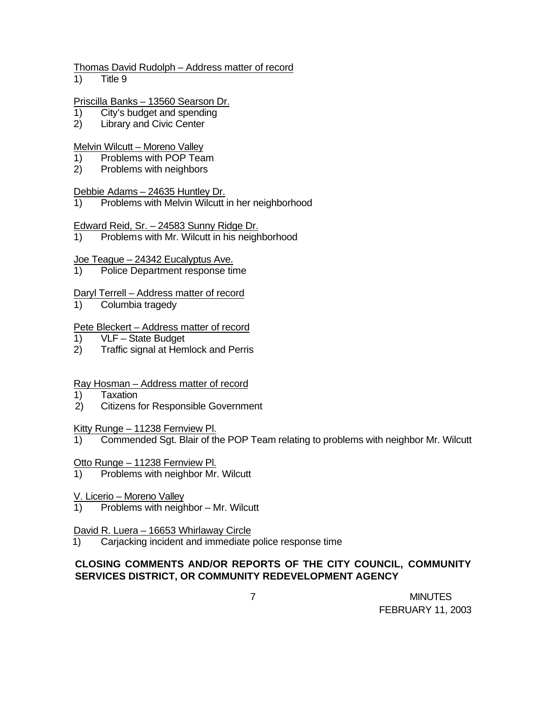#### Thomas David Rudolph – Address matter of record

1) Title 9

### Priscilla Banks – 13560 Searson Dr.

- 1) City's budget and spending
- 2) Library and Civic Center

## Melvin Wilcutt – Moreno Valley

- 1) Problems with POP Team
- 2) Problems with neighbors

## Debbie Adams – 24635 Huntley Dr.

1) Problems with Melvin Wilcutt in her neighborhood

## Edward Reid, Sr. – 24583 Sunny Ridge Dr.

1) Problems with Mr. Wilcutt in his neighborhood

## Joe Teague – 24342 Eucalyptus Ave.

1) Police Department response time

## Daryl Terrell – Address matter of record

1) Columbia tragedy

## Pete Bleckert – Address matter of record

- 1) VLF State Budget
- 2) Traffic signal at Hemlock and Perris

# Ray Hosman – Address matter of record

- 1) Taxation
- 2) Citizens for Responsible Government

### Kitty Runge – 11238 Fernview Pl.

- 1) Commended Sgt. Blair of the POP Team relating to problems with neighbor Mr. Wilcutt
- Otto Runge 11238 Fernview Pl.
- 1) Problems with neighbor Mr. Wilcutt
- V. Licerio Moreno Valley
- 1) Problems with neighbor Mr. Wilcutt

### David R. Luera – 16653 Whirlaway Circle

1) Carjacking incident and immediate police response time

# **CLOSING COMMENTS AND/OR REPORTS OF THE CITY COUNCIL, COMMUNITY SERVICES DISTRICT, OR COMMUNITY REDEVELOPMENT AGENCY**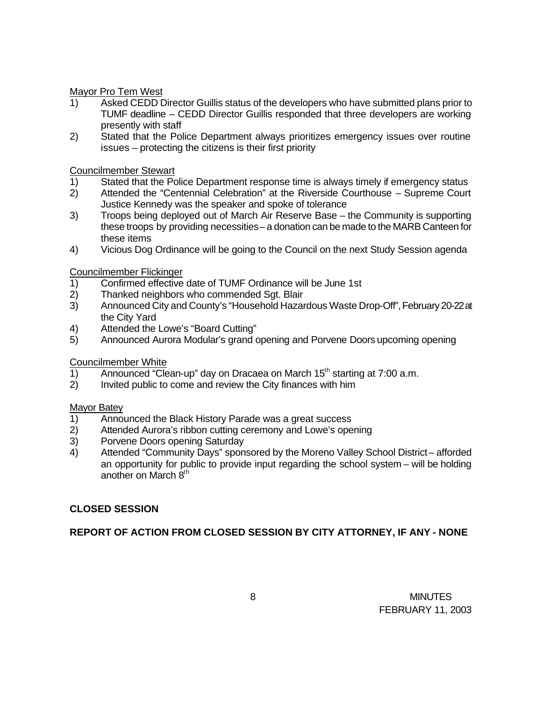Mayor Pro Tem West

- 1) Asked CEDD Director Guillis status of the developers who have submitted plans prior to TUMF deadline – CEDD Director Guillis responded that three developers are working presently with staff
- 2) Stated that the Police Department always prioritizes emergency issues over routine issues – protecting the citizens is their first priority

Councilmember Stewart

- 1) Stated that the Police Department response time is always timely if emergency status
- 2) Attended the "Centennial Celebration" at the Riverside Courthouse Supreme Court Justice Kennedy was the speaker and spoke of tolerance
- 3) Troops being deployed out of March Air Reserve Base the Community is supporting these troops by providing necessities – a donation can be made to the MARB Canteen for these items
- 4) Vicious Dog Ordinance will be going to the Council on the next Study Session agenda

Councilmember Flickinger

- 1) Confirmed effective date of TUMF Ordinance will be June 1st
- 2) Thanked neighbors who commended Sgt. Blair
- 3) Announced City and County's "Household Hazardous Waste Drop-Off", February 20-22 at the City Yard
- 4) Attended the Lowe's "Board Cutting"
- 5) Announced Aurora Modular's grand opening and Porvene Doors upcoming opening

Councilmember White

- 1) Announced "Clean-up" day on Dracaea on March  $15<sup>th</sup>$  starting at 7:00 a.m.
- 2) Invited public to come and review the City finances with him

#### Mayor Batey

- 1) Announced the Black History Parade was a great success
- 2) Attended Aurora's ribbon cutting ceremony and Lowe's opening
- 3) Porvene Doors opening Saturday
- 4) Attended "Community Days" sponsored by the Moreno Valley School District afforded an opportunity for public to provide input regarding the school system – will be holding another on March 8<sup>th</sup>

### **CLOSED SESSION**

**REPORT OF ACTION FROM CLOSED SESSION BY CITY ATTORNEY, IF ANY - NONE**